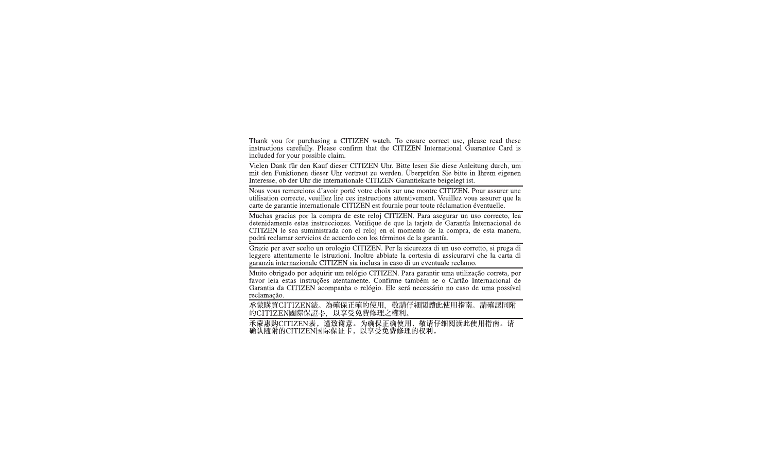Thank you for purchasing a CITIZEN watch. To ensure correct use, please read these instructions carefully. Please confirm that the CITIZEN International Guarantee Card is included for your possible claim.

Vielen Dank für den Kauf dieser CITIZEN Uhr. Bitte lesen Sie diese Anleitung durch, um mit den Funktionen dieser Uhr vertraut zu werden. Überprüfen Sie bitte in Ihrem eigenen Interesse, ob der Uhr die internationale CITIZEN Garantiekarte beigelegt ist.

Nous vous remercions d'avoir porté votre choix sur une montre CITIZEN. Pour assurer une utilisation correcte, veuillez lire ces instructions attentivement. Veuillez vous assurer que la carte de garantie internationale CITIZEN est fournie pour toute réclamation éventuelle.

Muchas gracias por la compra de este reloi CITIZEN. Para asegurar un uso correcto, lea detenidamente estas instrucciones. Verifique de que la tarjeta de Garantía Internacional de CITIZEN le sea suministrada con el reloj en el momento de la compra, de esta manera, podrá reclamar servicios de acuerdo con los términos de la garantía.

Grazie per aver scelto un orologio CITIZEN. Per la sicurezza di un uso corretto, si prega di leggere attentamente le istruzioni. Inoltre abbiate la cortesia di assicurarvi che la carta di garanzia internazionale CITIZEN sia inclusa in caso di un eventuale reclamo.

Muito obrigado por adquirir um relógio CITIZEN. Para garantir uma utilização correta, por favor leia estas instruções atentamente. Confirme também se o Cartão Internacional de Garantia da CITIZEN acompanha o relógio. Ele será necessário no caso de uma possível reclamação.

承蒙購買CITIZEN錶。為確保正確的使用, 敬請仔細閱讀此使用指南。請確認同附 的CITIZEN國際保證卡, 以享受免費修理之權利。

承蒙惠购CITIZEN表, 谨致谢意。为确保正确使用, 敬请仔细阅读此使用指南。请<br>确认随附的CITIZEN国际保证卡, 以享受免费修理的权利。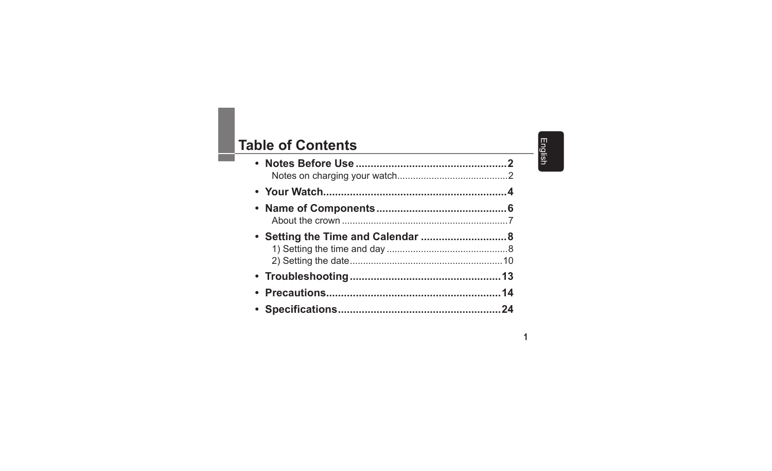## Table of Contents

English

 $\mathbf{1}$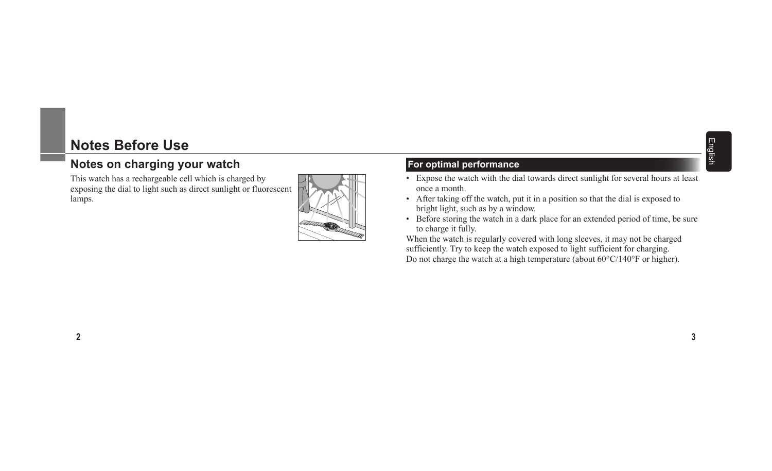## **Notes Before Use**

### **Notes on charging your watch**

This watch has a rechargeable cell which is charged by exposing the dial to light such as direct sunlight or fluorescent lamps.



#### **For optimal performance**

- Expose the watch with the dial towards direct sunlight for several hours at least once a month.
- ï After taking off the watch, put it in a position so that the dial is exposed to bright light, such as by a window.
- Before storing the watch in a dark place for an extended period of time, be sure to charge it fully.

When the watch is regularly covered with long sleeves, it may not be charged sufficiently. Try to keep the watch exposed to light sufficient for charging. Do not charge the watch at a high temperature (about  $60^{\circ}$ C/140°F or higher).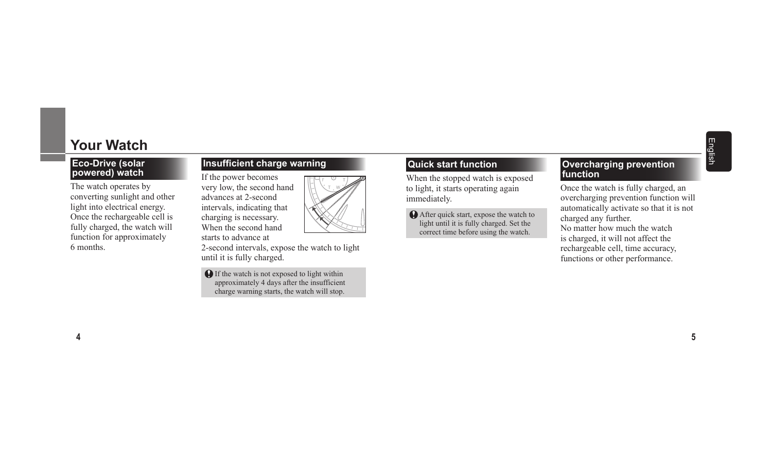#### **Eco-Drive (solar powered) watch**

The watch operates by converting sunlight and other light into electrical energy. Once the rechargeable cell is fully charged, the watch will function for approximately 6 months.

#### **Insufficient charge warning**

If the power becomes very low, the second hand advances at 2-second intervals, indicating that charging is necessary. When the second hand starts to advance at



**O** If the watch is not exposed to light within approximately 4 days after the insufficient charge warning starts, the watch will stop.

#### **Quick start function**

When the stopped watch is exposed to light, it starts operating again immediately.

 After quick start, expose the watch to light until it is fully charged. Set the correct time before using the watch.

#### **Overcharging prevention function**

Once the watch is fully charged, an overcharging prevention function will automatically activate so that it is not charged any further. No matter how much the watch is charged, it will not affect the rechargeable cell, time accuracy, functions or other performance.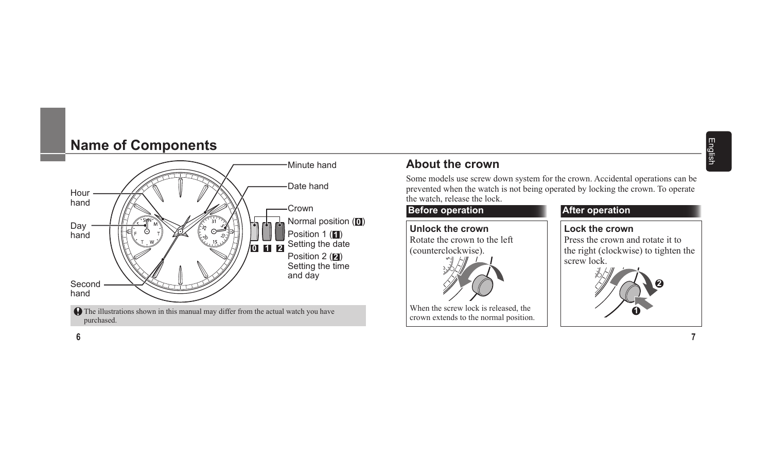## **Name of Components**



### **About the crown**

Some models use screw down system for the crown. Accidental operations can be prevented when the watch is not being operated by locking the crown. To operate the watch, release the lock.

#### **Before operation After operation**

**Unlock the crown** Rotate the crown to the left (counterclockwise).

When the screw lock is released, the crown extends to the normal position.



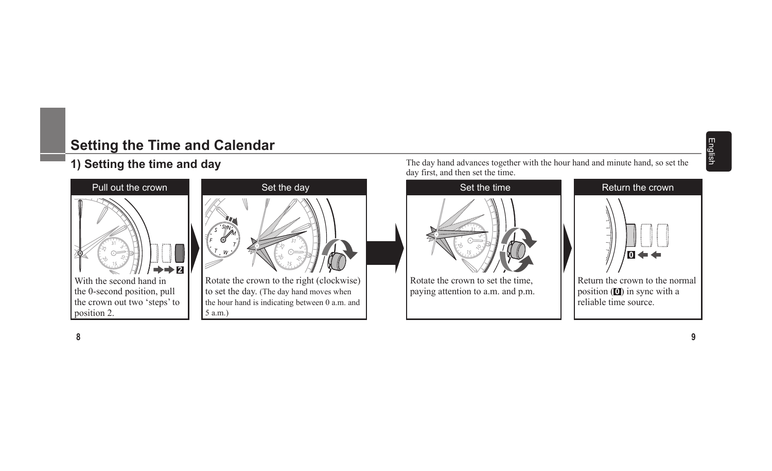## English

## **Setting the Time and Calendar**

## **1) Setting the time and day**





to set the day. (The day hand moves when the hour hand is indicating between 0 a.m. and 5 a.m.)

The day hand advances together with the hour hand and minute hand, so set the day first, and then set the time.



paying attention to a.m. and p.m.

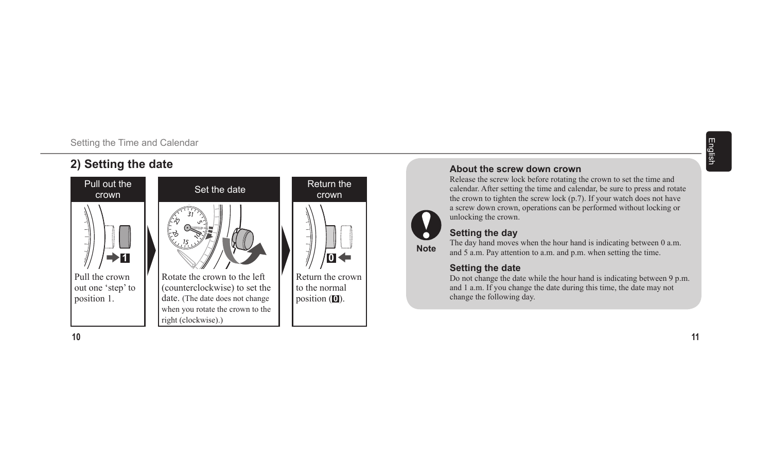#### Setting the Time and Calendar

## **2) Setting the date**



English

# **Note**

#### unlocking the crown. **Setting the day**

**About the screw down crown**

The day hand moves when the hour hand is indicating between 0 a.m. and 5 a.m. Pay attention to a.m. and p.m. when setting the time.

Release the screw lock before rotating the crown to set the time and calendar. After setting the time and calendar, be sure to press and rotate the crown to tighten the screw lock (p.7). If your watch does not have a screw down crown, operations can be performed without locking or

#### **Setting the date**

Do not change the date while the hour hand is indicating between 9 p.m. and 1 a.m. If you change the date during this time, the date may not change the following day.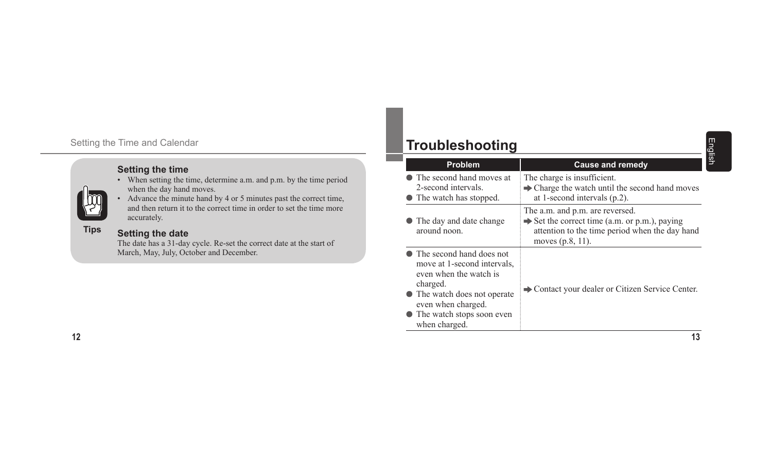#### Setting the Time and Calendar

#### **Setting the time**

- When setting the time, determine a.m. and p.m. by the time period when the day hand moves.
- Advance the minute hand by 4 or 5 minutes past the correct time, and then return it to the correct time in order to set the time more accurately.

#### **Tips**

#### **Setting the date**

The date has a 31-day cycle. Re-set the correct date at the start of March, May, July, October and December.

## **Troubleshooting**

| Problem                                                                                                                                                                                               | <b>Cause and remedy</b>                                                                                                                                               |
|-------------------------------------------------------------------------------------------------------------------------------------------------------------------------------------------------------|-----------------------------------------------------------------------------------------------------------------------------------------------------------------------|
| • The second hand moves at<br>2-second intervals.<br>• The watch has stopped.                                                                                                                         | The charge is insufficient.<br>$\rightarrow$ Charge the watch until the second hand moves<br>at 1-second intervals $(p.2)$ .                                          |
| • The day and date change<br>around noon.                                                                                                                                                             | The a.m. and p.m. are reversed.<br>$\rightarrow$ Set the correct time (a.m. or p.m.), paying<br>attention to the time period when the day hand<br>moves $(p.8, 11)$ . |
| • The second hand does not<br>move at 1-second intervals,<br>even when the watch is<br>charged.<br>• The watch does not operate<br>even when charged.<br>• The watch stops soon even<br>when charged. | Contact your dealer or Citizen Service Center.                                                                                                                        |
|                                                                                                                                                                                                       | 13                                                                                                                                                                    |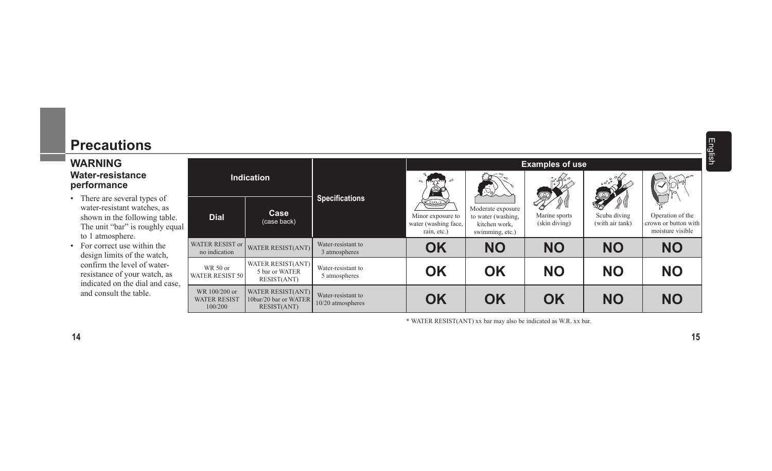## **Precautions**

#### **WARNING Water-resistance performance**

- There are several types of water-resistant watches, as shown in the following table. The unit "bar" is roughly equal to 1 atmosphere.
- For correct use within the design limits of the watch, confirm the level of waterresistance of your watch, as indicated on the dial and case, and consult the table.

|    |                                                 |                                                           |                                         | <b>Examples of use</b>                                                            |                                                                             |                                |                                                                                                                                             |                                                              |
|----|-------------------------------------------------|-----------------------------------------------------------|-----------------------------------------|-----------------------------------------------------------------------------------|-----------------------------------------------------------------------------|--------------------------------|---------------------------------------------------------------------------------------------------------------------------------------------|--------------------------------------------------------------|
| ıl | Indication                                      |                                                           | <b>Specifications</b>                   | $\sim$ movem $\geq$<br>數                                                          | $\langle \mathbb{S} \rangle$                                                | 3600<br>Ŗ                      | $\frac{1}{2}$ $\frac{1}{2}$ $\frac{1}{2}$ $\frac{1}{2}$ $\frac{1}{2}$ $\frac{1}{2}$ $\frac{1}{2}$ $\frac{1}{2}$ $\frac{1}{2}$ $\frac{1}{2}$ |                                                              |
|    | <b>Dial</b>                                     | Case<br>(case back)                                       |                                         | $\overline{(\omega)}$<br>Minor exposure to<br>water (washing face,<br>rain, etc.) | Moderate exposure<br>to water (washing,<br>kitchen work,<br>swimming, etc.) | Marine sports<br>(skin diving) | Scuba diving<br>(with air tank)                                                                                                             | Operation of the<br>crown or button with<br>moisture visible |
|    | <b>WATER RESIST or</b><br>no indication         | WATER RESIST(ANT)                                         | Water-resistant to<br>3 atmospheres     | OK                                                                                | <b>NO</b>                                                                   | <b>NO</b>                      | <b>NO</b>                                                                                                                                   | <b>NO</b>                                                    |
|    | WR 50 or<br><b>WATER RESIST 50</b>              | WATER RESIST(ANT)<br>5 bar or WATER<br>RESIST(ANT)        | Water-resistant to<br>5 atmospheres     | <b>OK</b>                                                                         | <b>OK</b>                                                                   | <b>NO</b>                      | <b>NO</b>                                                                                                                                   | <b>NO</b>                                                    |
|    | WR 100/200 or<br><b>WATER RESIST</b><br>100/200 | WATER RESIST(ANT)<br>10bar/20 bar or WATER<br>RESIST(ANT) | Water-resistant to<br>10/20 atmospheres | <b>OK</b>                                                                         | <b>OK</b>                                                                   | OK                             | <b>NO</b>                                                                                                                                   | <b>NO</b>                                                    |

\* WATER RESIST(ANT) xx bar may also be indicated as W.R. xx bar.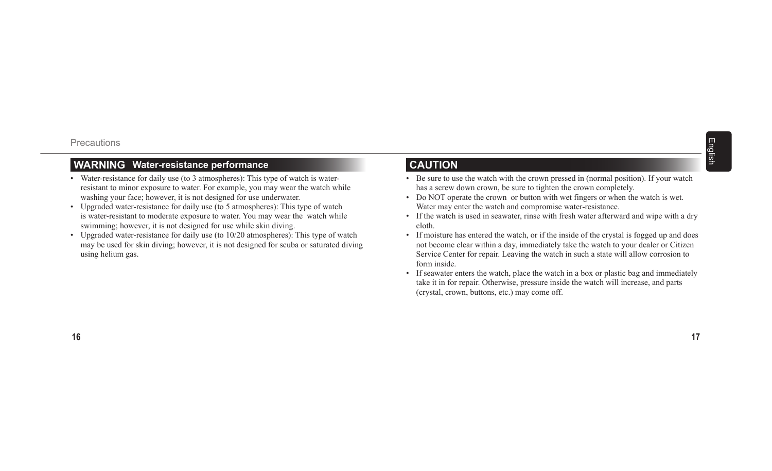#### **WARNING Water-resistance performance**

- Water-resistance for daily use (to 3 atmospheres): This type of watch is waterresistant to minor exposure to water. For example, you may wear the watch while washing your face; however, it is not designed for use underwater.
- Upgraded water-resistance for daily use (to 5 atmospheres): This type of watch is water-resistant to moderate exposure to water. You may wear the watch while swimming; however, it is not designed for use while skin diving.
- Upgraded water-resistance for daily use (to  $10/20$  atmospheres): This type of watch may be used for skin diving; however, it is not designed for scuba or saturated diving using helium gas.

#### **CAUTION**

- Be sure to use the watch with the crown pressed in (normal position). If your watch has a screw down crown, be sure to tighten the crown completely.
- Do NOT operate the crown or button with wet fingers or when the watch is wet. Water may enter the watch and compromise water-resistance.
- If the watch is used in seawater, rinse with fresh water afterward and wipe with a dry cloth.
- If moisture has entered the watch, or if the inside of the crystal is fogged up and does not become clear within a day, immediately take the watch to your dealer or Citizen Service Center for repair. Leaving the watch in such a state will allow corrosion to form inside.
- If seawater enters the watch, place the watch in a box or plastic bag and immediately take it in for repair. Otherwise, pressure inside the watch will increase, and parts (crystal, crown, buttons, etc.) may come off.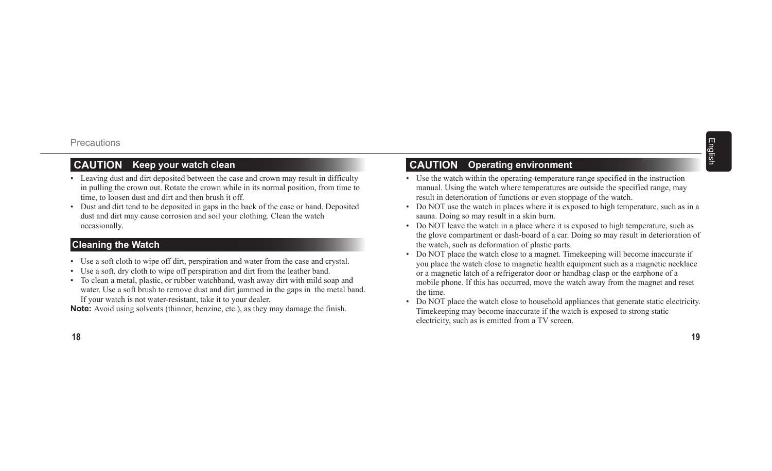#### **CAUTION Keep your watch clean**

- Leaving dust and dirt deposited between the case and crown may result in difficulty in pulling the crown out. Rotate the crown while in its normal position, from time to time, to loosen dust and dirt and then brush it off.
- Dust and dirt tend to be deposited in gaps in the back of the case or band. Deposited dust and dirt may cause corrosion and soil your clothing. Clean the watch occasionally.

#### **Cleaning the Watch**

- Use a soft cloth to wipe off dirt, perspiration and water from the case and crystal.
- Use a soft, dry cloth to wipe off perspiration and dirt from the leather band.
- To clean a metal, plastic, or rubber watchband, wash away dirt with mild soap and water. Use a soft brush to remove dust and dirt jammed in the gaps in the metal band. If your watch is not water-resistant, take it to your dealer.

**Note:** Avoid using solvents (thinner, benzine, etc.), as they may damage the finish.

#### **CAUTION Operating environment**

- Use the watch within the operating-temperature range specified in the instruction manual. Using the watch where temperatures are outside the specified range, may result in deterioration of functions or even stoppage of the watch.
- Do NOT use the watch in places where it is exposed to high temperature, such as in a sauna. Doing so may result in a skin burn.
- Do NOT leave the watch in a place where it is exposed to high temperature, such as the glove compartment or dash-board of a car. Doing so may result in deterioration of the watch, such as deformation of plastic parts.
- Do NOT place the watch close to a magnet. Timekeeping will become inaccurate if you place the watch close to magnetic health equipment such as a magnetic necklace or a magnetic latch of a refrigerator door or handbag clasp or the earphone of a mobile phone. If this has occurred, move the watch away from the magnet and reset the time.
- Do NOT place the watch close to household appliances that generate static electricity. Timekeeping may become inaccurate if the watch is exposed to strong static electricity, such as is emitted from a TV screen.

**19**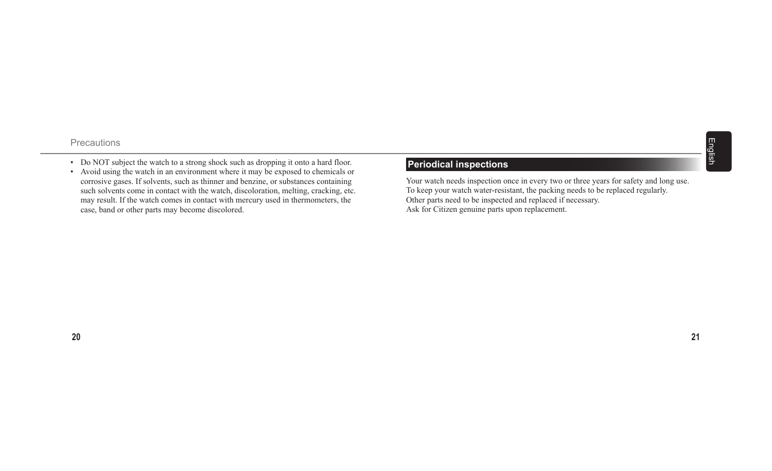- Do NOT subject the watch to a strong shock such as dropping it onto a hard floor.
- Avoid using the watch in an environment where it may be exposed to chemicals or corrosive gases. If solvents, such as thinner and benzine, or substances containing such solvents come in contact with the watch, discoloration, melting, cracking, etc. may result. If the watch comes in contact with mercury used in thermometers, the case, band or other parts may become discolored.

#### **Periodical inspections**

Your watch needs inspection once in every two or three years for safety and long use. To keep your watch water-resistant, the packing needs to be replaced regularly. Other parts need to be inspected and replaced if necessary. Ask for Citizen genuine parts upon replacement.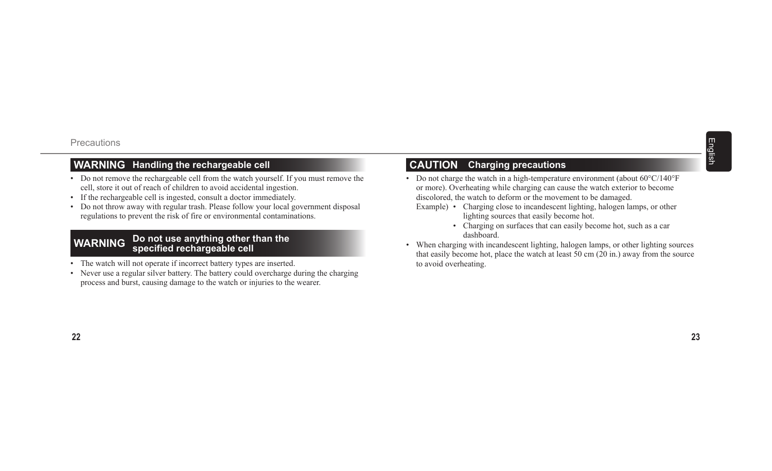#### **WARNING Handling the rechargeable cell**

- Do not remove the rechargeable cell from the watch yourself. If you must remove the cell, store it out of reach of children to avoid accidental ingestion.
- If the rechargeable cell is ingested, consult a doctor immediately.
- Do not throw away with regular trash. Please follow your local government disposal regulations to prevent the risk of fire or environmental contaminations.

## **WARNING Do not use anything other than the specified rechargeable cell**

- The watch will not operate if incorrect battery types are inserted.
- Never use a regular silver battery. The battery could overcharge during the charging process and burst, causing damage to the watch or injuries to the wearer.

### **CAUTION Charging precautions**

- Do not charge the watch in a high-temperature environment (about  $60^{\circ}$ C/140°F or more). Overheating while charging can cause the watch exterior to become discolored, the watch to deform or the movement to be damaged.
	- Example) Charging close to incandescent lighting, halogen lamps, or other lighting sources that easily become hot.
		- Charging on surfaces that can easily become hot, such as a car dashboard.
- When charging with incandescent lighting, halogen lamps, or other lighting sources that easily become hot, place the watch at least  $50 \text{ cm}$  ( $20 \text{ in.}$ ) away from the source to avoid overheating.

English